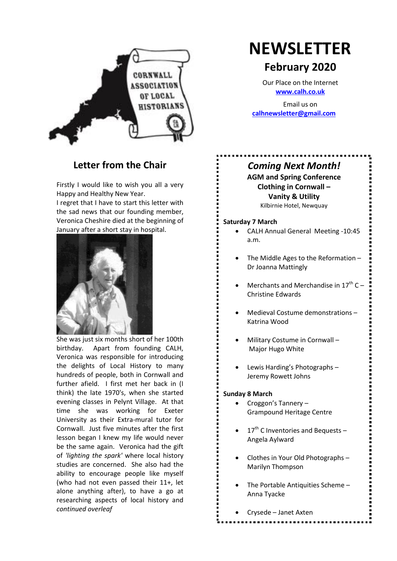

#### **Letter from the Chair**

Firstly I would like to wish you all a very Happy and Healthy New Year.

I regret that I have to start this letter with the sad news that our founding member, Veronica Cheshire died at the beginning of January after a short stay in hospital.



She was just six months short of her 100th birthday. Apart from founding CALH, Veronica was responsible for introducing the delights of Local History to many hundreds of people, both in Cornwall and further afield. I first met her back in (I think) the late 1970's, when she started evening classes in Pelynt Village. At that time she was working for Exeter University as their Extra-mural tutor for Cornwall. Just five minutes after the first lesson began I knew my life would never be the same again. Veronica had the gift of *'lighting the spark'* where local history studies are concerned. She also had the ability to encourage people like myself (who had not even passed their 11+, let alone anything after), to have a go at researching aspects of local history and *continued overleaf*

# **NEWSLETTER**

### **February 2020**

Our Place on the Internet **www.calh.co.uk**

Email us on **calhnewsletter@gmail.com**

#### *Coming Next Month!*

**AGM and Spring Conference Clothing in Cornwall – Vanity & Utility** Kilbirnie Hotel, Newquay

#### **Saturday 7 March**

- x CALH Annual General Meeting -10:45 a.m.
- The Middle Ages to the Reformation Dr Joanna Mattingly
- Merchants and Merchandise in  $17<sup>th</sup>$  C Christine Edwards
- x Medieval Costume demonstrations Katrina Wood
- x Military Costume in Cornwall Major Hugo White
- Lewis Harding's Photographs -Jeremy Rowett Johns

#### **Sunday 8 March**

- Croggon's Tannery Grampound Heritage Centre
- $\bullet$  17<sup>th</sup> C Inventories and Bequests Angela Aylward
- Clothes in Your Old Photographs -Marilyn Thompson
- The Portable Antiquities Scheme -Anna Tyacke
- x Crysede Janet Axten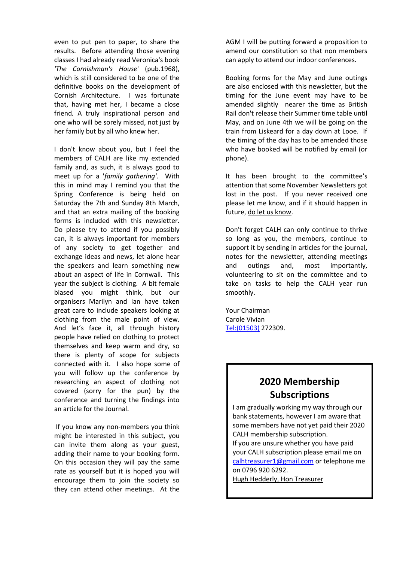even to put pen to paper, to share the results. Before attending those evening classes I had already read Veronica's book *'The Cornishman's House*' (pub.1968), which is still considered to be one of the definitive books on the development of Cornish Architecture. I was fortunate that, having met her, I became a close friend*.* A truly inspirational person and one who will be sorely missed, not just by her family but by all who knew her.

I don't know about you, but I feel the members of CALH are like my extended family and, as such, it is always good to meet up for a '*family gathering'*. With this in mind may I remind you that the Spring Conference is being held on Saturday the 7th and Sunday 8th March, and that an extra mailing of the booking forms is included with this newsletter. Do please try to attend if you possibly can, it is always important for members of any society to get together and exchange ideas and news, let alone hear the speakers and learn something new about an aspect of life in Cornwall. This year the subject is clothing. A bit female biased you might think, but our organisers Marilyn and Ian have taken great care to include speakers looking at clothing from the male point of view. And let's face it, all through history people have relied on clothing to protect themselves and keep warm and dry, so there is plenty of scope for subjects connected with it. I also hope some of you will follow up the conference by researching an aspect of clothing not covered (sorry for the pun) by the conference and turning the findings into an article for the Journal.

If you know any non-members you think might be interested in this subject, you can invite them along as your guest, adding their name to your booking form. On this occasion they will pay the same rate as yourself but it is hoped you will encourage them to join the society so they can attend other meetings.At the

AGM I will be putting forward a proposition to amend our constitution so that non members can apply to attend our indoor conferences.

Booking forms for the May and June outings are also enclosed with this newsletter, but the timing for the June event may have to be amended slightly nearer the time as British Rail don't release their Summer time table until May, and on June 4th we will be going on the train from Liskeard for a day down at Looe. If the timing of the day has to be amended those who have booked will be notified by email (or phone).

It has been brought to the committee's attention that some November Newsletters got lost in the post. If you never received one please let me know, and if it should happen in future, do let us know.

Don't forget CALH can only continue to thrive so long as you, the members, continue to support it by sending in articles for the journal, notes for the newsletter, attending meetings and outings and, most importantly, volunteering to sit on the committee and to take on tasks to help the CALH year run smoothly.

Your Chairman Carole Vivian Tel:(01503) 272309.

### **2020 Membership Subscriptions**

I am gradually working my way through our bank statements, however I am aware that some members have not yet paid their 2020 CALH membership subscription.

If you are unsure whether you have paid your CALH subscription please email me on calhtreasurer1@gmail.com or telephone me on 0796 920 6292.

Hugh Hedderly, Hon Treasurer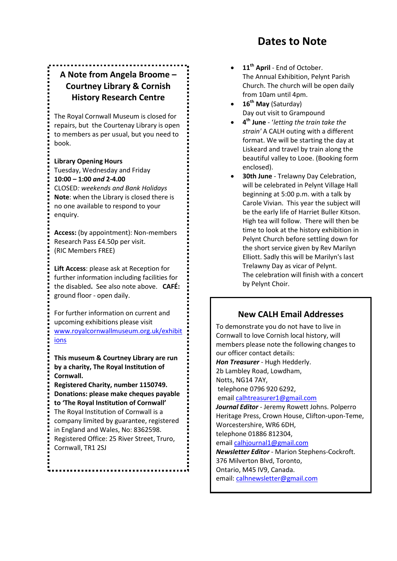### **Dates to Note**

### **A Note from Angela Broome – Courtney Library & Cornish History Research Centre**

The Royal Cornwall Museum is closed for repairs, but the Courtenay Library is open to members as per usual, but you need to book.

**Library Opening Hours**

Tuesday, Wednesday and Friday **10:00 – 1:00** *and* **2-4.00** CLOSED*: weekends and Bank Holidays*

**Note**: when the Library is closed there is no one available to respond to your enquiry.

**Access:** (by appointment): Non-members Research Pass £4.50p per visit. (RIC Members FREE)

**Lift Access**: please ask at Reception for further information including facilities for the disabled**.** See also note above. **CAFÉ:**  ground floor - open daily.

For further information on current and upcoming exhibitions please visit www.royalcornwallmuseum.org.uk/exhibit ions

**This museum & Courtney Library are run by a charity, The Royal Institution of Cornwall.** 

**Registered Charity, number 1150749. Donations: please make cheques payable to 'The Royal Institution of Cornwall'** The Royal Institution of Cornwall is a company limited by guarantee, registered in England and Wales, No: 8362598. Registered Office: 25 River Street, Truro, Cornwall, TR1 2SJ

- 11<sup>th</sup> April End of October. The Annual Exhibition, Pelynt Parish Church. The church will be open daily from 10am until 4pm.
- 16<sup>th</sup> May (Saturday) Day out visit to Grampound
- x **4th June** '*letting the train take the strain'* A CALH outing with a different format. We will be starting the day at Liskeard and travel by train along the beautiful valley to Looe. (Booking form enclosed).
- **30th June** Trelawny Day Celebration, will be celebrated in Pelynt Village Hall beginning at 5:00 p.m. with a talk by Carole Vivian. This year the subject will be the early life of Harriet Buller Kitson. High tea will follow. There will then be time to look at the history exhibition in Pelynt Church before settling down for the short service given by Rev Marilyn Elliott. Sadly this will be Marilyn's last Trelawny Day as vicar of Pelynt. The celebration will finish with a concert by Pelynt Choir.

#### **New CALH Email Addresses**

To demonstrate you do not have to live in Cornwall to love Cornish local history, will members please note the following changes to our officer contact details: *Hon Treasurer* - Hugh Hedderly. 2b Lambley Road, Lowdham, Notts, NG14 7AY, telephone 0796 920 6292, email calhtreasurer1@gmail.com *Journal Editor* - Jeremy Rowett Johns. Polperro Heritage Press, Crown House, Clifton-upon-Teme, Worcestershire, WR6 6DH, telephone 01886 812304, email calhjournal1@gmail.com *Newsletter Editor* - Marion Stephens-Cockroft. 376 Milverton Blvd, Toronto, Ontario, M45 IV9, Canada. email: calhnewsletter@gmail.com